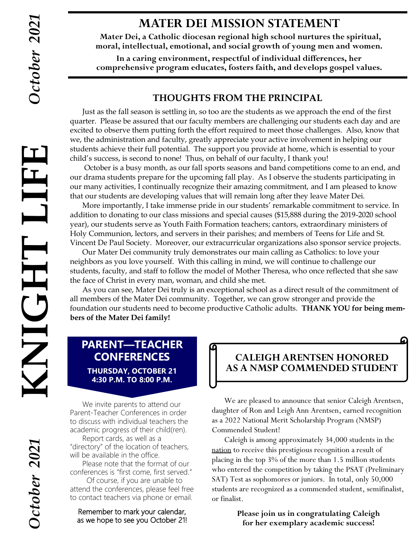### **MATER DEI MISSION STATEMENT**

**Mater Dei, a Catholic diocesan regional high school nurtures the spiritual, moral, intellectual, emotional, and social growth of young men and women.**

**In a caring environment, respectful of individual differences, her comprehensive program educates, fosters faith, and develops gospel values.**

#### **THOUGHTS FROM THE PRINCIPAL**

Just as the fall season is settling in, so too are the students as we approach the end of the first quarter. Please be assured that our faculty members are challenging our students each day and are excited to observe them putting forth the effort required to meet those challenges. Also, know that we, the administration and faculty, greatly appreciate your active involvement in helping our students achieve their full potential. The support you provide at home, which is essential to your child's success, is second to none! Thus, on behalf of our faculty, I thank you!

October is a busy month, as our fall sports seasons and band competitions come to an end, and our drama students prepare for the upcoming fall play. As I observe the students participating in our many activities, I continually recognize their amazing commitment, and I am pleased to know that our students are developing values that will remain long after they leave Mater Dei. **KNIGHT LIFE**

More importantly, I take immense pride in our students' remarkable commitment to service. In addition to donating to our class missions and special causes (\$15,888 during the 2019-2020 school year), our students serve as Youth Faith Formation teachers; cantors, extraordinary ministers of Holy Communion, lectors, and servers in their parishes; and members of Teens for Life and St. Vincent De Paul Society. Moreover, our extracurricular organizations also sponsor service projects.

Our Mater Dei community truly demonstrates our main calling as Catholics: to love your neighbors as you love yourself. With this calling in mind, we will continue to challenge our students, faculty, and staff to follow the model of Mother Theresa, who once reflected that she saw the face of Christ in every man, woman, and child she met.

As you can see, Mater Dei truly is an exceptional school as a direct result of the commitment of all members of the Mater Dei community. Together, we can grow stronger and provide the foundation our students need to become productive Catholic adults. **THANK YOU for being members of the Mater Dei family!** 

### **PARENT—TEACHER CONFERENCES**

**THURSDAY, OCTOBER 21 4:30 P.M. TO 8:00 P.M.**

We invite parents to attend our Parent-Teacher Conferences in order to discuss with individual teachers the academic progress of their child(ren).

Report cards, as well as a "directory" of the location of teachers, will be available in the office.

 Please note that the format of our conferences is "first come, first served."

 Of course, if you are unable to attend the conferences, please feel free to contact teachers via phone or email.

Remember to mark your calendar, as we hope to see you October 21!

### **CALEIGH ARENTSEN HONORED AS A NMSP COMMENDED STUDENT**

 We are pleased to announce that senior Caleigh Arentsen, daughter of Ron and Leigh Ann Arentsen, earned recognition as a 2022 National Merit Scholarship Program (NMSP) Commended Student!

Caleigh is among approximately 34,000 students in the nation to receive this prestigious recognition a result of placing in the top 3% of the more than 1.5 million students who entered the competition by taking the PSAT (Preliminary SAT) Test as sophomores or juniors. In total, only 50,000 students are recognized as a commended student, semifinalist, or finalist.

> **Please join us in congratulating Caleigh for her exemplary academic success!**

HT LIFNY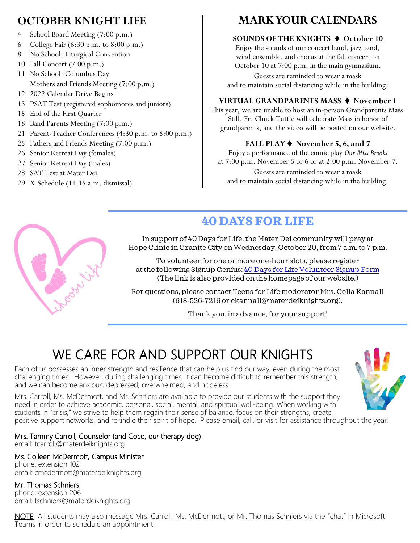### **OCTOBER KNIGHT LIFE**

- 4 School Board Meeting (7:00 p.m.)
- 6 College Fair (6:30 p.m. to 8:00 p.m.)
- 8 No School: Liturgical Convention
- 10 Fall Concert (7:00 p.m.)
- 11 No School: Columbus Day Mothers and Friends Meeting (7:00 p.m.)
- 12 2022 Calendar Drive Begins
- 13 PSAT Test (registered sophomores and juniors)
- 15 End of the First Quarter
- 18 Band Parents Meeting (7:00 p.m.)
- 21 Parent-Teacher Conferences (4:30 p.m. to 8:00 p.m.)
- 25 Fathers and Friends Meeting (7:00 p.m.)
- 26 Senior Retreat Day (females)
- 27 Senior Retreat Day (males)
- 28 SAT Test at Mater Dei
- 29 X-Schedule (11:15 a.m. dismissal)

### **MARK YOUR CALENDARS**

#### **SOUNDS OF THE KNIGHTS** ⧫ **October 10**

Enjoy the sounds of our concert band, jazz band, wind ensemble, and chorus at the fall concert on October 10 at 7:00 p.m. in the main gymnasium.

Guests are reminded to wear a mask and to maintain social distancing while in the building.

#### **VIRTUAL GRANDPARENTS MASS** ⧫ **November 1**

This year, we are unable to host an in-person Grandparents Mass. Still, Fr. Chuck Tuttle will celebrate Mass in honor of grandparents, and the video will be posted on our website.

#### **FALL PLAY** ⧫ **November 5, 6, and 7**

Enjoy a performance of the comic play *Our Miss Brooks* at 7:00 p.m. November 5 or 6 or at 2:00 p.m. November 7. Guests are reminded to wear a mask and to maintain social distancing while in the building.



# **40 DAYS FOR LIFE**

In support of 40 Days for Life, the Mater Dei community will pray at Hope Clinic in Granite City on Wednesday, October 20, from 7 a.m. to 7 p.m.

To volunteer for one or more one-hour slots, please register at the following Signup Genius: [40 Days for Life Volunteer Signup Form](https://www.signupgenius.com/go/9040948abaf28a2fa7-days1) (The link is also provided on the homepage of our website.)

For questions, please contact Teens for Life moderator Mrs. Celia Kannall (618-526-7216 or ckannall@materdeiknights.org).

Thank you, in advance, for your support!

# WE CARE FOR AND SUPPORT OUR KNIGHTS

Each of us possesses an inner strength and resilience that can help us find our way, even during the most challenging times. However, during challenging times, it can become difficult to remember this strength, and we can become anxious, depressed, overwhelmed, and hopeless.

Mrs. Carroll, Ms. McDermott, and Mr. Schniers are available to provide our students with the support they need in order to achieve academic, personal, social, mental, and spiritual well-being. When working with students in "crisis," we strive to help them regain their sense of balance, focus on their strengths, create positive support networks, and rekindle their spirit of hope. Please email, call, or visit for assistance throughout the year!

#### Mrs. Tammy Carroll, Counselor (and Coco, our therapy dog)

email: tcarroll@materdeiknights.org

#### Ms. Colleen McDermott, Campus Minister

phone: extension 102 email: cmcdermott@materdeiknights.org

#### Mr. Thomas Schniers

phone: extension 206 email: tschniers@materdeiknights.org

NOTE All students may also message Mrs. Carroll, Ms. McDermott, or Mr. Thomas Schniers via the "chat" in Microsoft Teams in order to schedule an appointment.

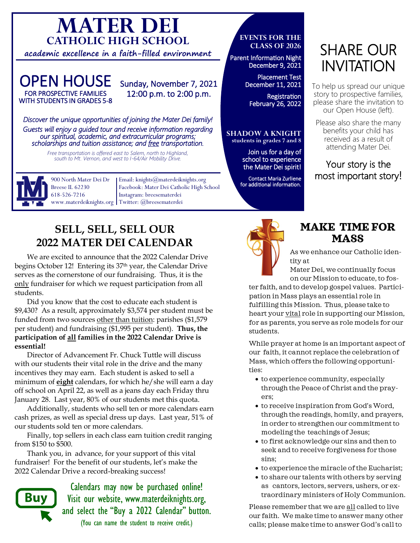# **MATER DEI CATHOLIC HIGH SCHOOL**

**academic excellence in a faith-filled environment**

#### OPEN HOUSE FOR PROSPECTIVE FAMILIES WITH STUDENTS IN GRADES 5-8

### Sunday, November 7, 2021 12:00 p.m. to 2:00 p.m.

*Discover the unique opportunities of joining the Mater Dei family! Guests will enjoy a guided tour and receive information regarding our spiritual, academic, and extracurricular programs; scholarships and tuition assistance; and free transportation.* 

*Free transportation is offered east to Salem, north to Highland, south to Mt. Vernon, and west to I-64/Air Mobility Drive.*



900 North Mater Dei Dr Breese IL 62230 618-526-7216

Email: knights@materdeiknights.org Facebook: Mater Dei Catholic High School Instagram: breesematerdei www.materdeiknights.org | Twitter: @breesematerdei

### **SELL, SELL, SELL OUR 2022 MATER DEI CALENDAR**

We are excited to announce that the 2022 Calendar Drive begins October 12! Entering its 37th year, the Calendar Drive serves as the cornerstone of our fundraising. Thus, it is the only fundraiser for which we request participation from all students.

Did you know that the cost to educate each student is \$9,430? As a result, approximately \$3,574 per student must be funded from two sources other than tuition: parishes (\$1,579 per student) and fundraising (\$1,995 per student). **Thus, the participation of all families in the 2022 Calendar Drive is essential!**

Director of Advancement Fr. Chuck Tuttle will discuss with our students their vital role in the drive and the many incentives they may earn. Each student is asked to sell a minimum of **eight** calendars, for which he/she will earn a day off school on April 22, as well as a jeans day each Friday thru January 28. Last year, 80% of our students met this quota.

Additionally, students who sell ten or more calendars earn cash prizes, as well as special dress up days. Last year, 51% of our students sold ten or more calendars.

Finally, top sellers in each class earn tuition credit ranging from \$150 to \$500.

Thank you, in advance, for your support of this vital fundraiser! For the benefit of our students, let's make the 2022 Calendar Drive a record-breaking success!



Calendars may now be purchased online! Visit our website, www.materdeiknights.org, and select the "Buy a 2022 Calendar" button. (You can name the student to receive credit.)

#### **EVENTS FOR THE CLASS OF 2026**

Parent Information Night December 9, 2021

> Placement Test December 11, 2021

**Registration** February 26, 2022

#### **SHADOW A KNIGHT students in grades 7 and 8**

Join us for a day of school to experience the Mater Dei spirit!

Contact Maria Zurliene for additional information.

# SHARE OUR INVITATION

To help us spread our unique story to prospective families, please share the invitation to our Open House (left).

Please also share the many benefits your child has received as a result of attending Mater Dei.

### Your story is the most important story!



### **MAKE TIME FOR MASS**

As we enhance our Catholic identity at

Mater Dei, we continually focus on our Mission to educate, to fos-

ter faith, and to develop gospel values. Participation in Mass plays an essential role in fulfilling this Mission. Thus, please take to heart your vital role in supporting our Mission, for as parents, you serve as role models for our students.

While prayer at home is an important aspect of our faith, it cannot replace the celebration of Mass, which offers the following opportunities:

- to experience community, especially through the Peace of Christ and the prayers;
- to receive inspiration from God's Word, through the readings, homily, and prayers, in order to strengthen our commitment to modeling the teachings of Jesus;
- to first acknowledge our sins and then to seek and to receive forgiveness for those sins;
- to experience the miracle of the Eucharist;
- to share our talents with others by serving as cantors, lectors, servers, ushers, or extraordinary ministers of Holy Communion.

Please remember that we are all called to live our faith. We make time to answer many other calls; please make time to answer God's call to